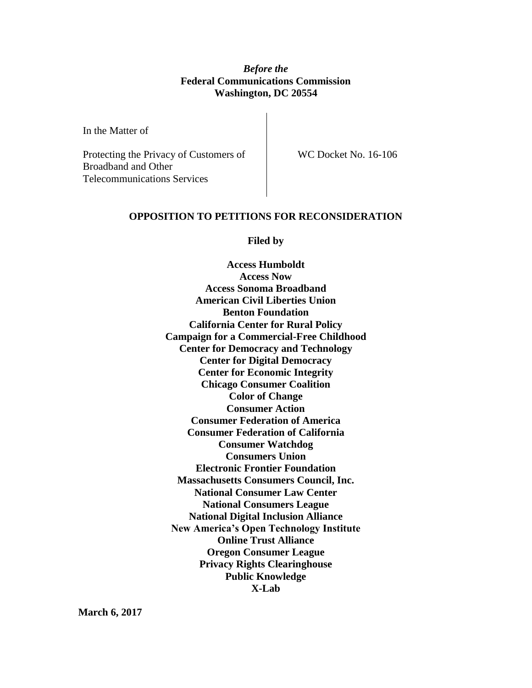## *Before the* **Federal Communications Commission Washington, DC 20554**

In the Matter of

Protecting the Privacy of Customers of Broadband and Other Telecommunications Services

WC Docket No. 16-106

### **OPPOSITION TO PETITIONS FOR RECONSIDERATION**

**Filed by**

**Access Humboldt Access Now Access Sonoma Broadband American Civil Liberties Union Benton Foundation California Center for Rural Policy Campaign for a Commercial-Free Childhood Center for Democracy and Technology Center for Digital Democracy Center for Economic Integrity Chicago Consumer Coalition Color of Change Consumer Action Consumer Federation of America Consumer Federation of California Consumer Watchdog Consumers Union Electronic Frontier Foundation Massachusetts Consumers Council, Inc. National Consumer Law Center National Consumers League National Digital Inclusion Alliance New America's Open Technology Institute Online Trust Alliance Oregon Consumer League Privacy Rights Clearinghouse Public Knowledge X-Lab**

**March 6, 2017**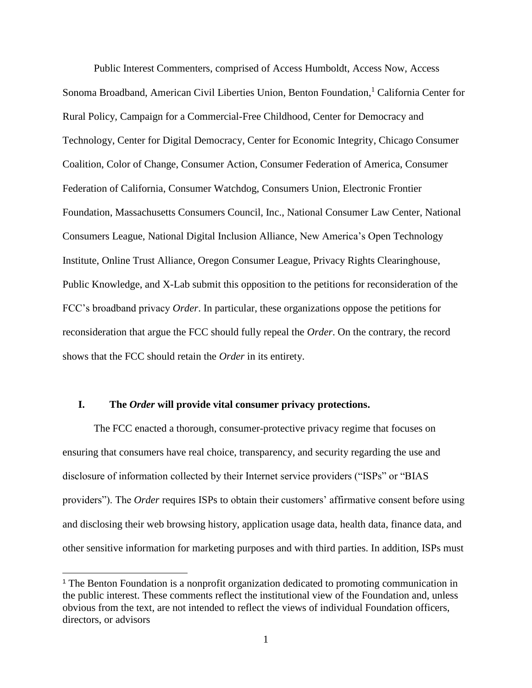Public Interest Commenters, comprised of Access Humboldt, Access Now, Access Sonoma Broadband, American Civil Liberties Union, Benton Foundation, <sup>1</sup> California Center for Rural Policy, Campaign for a Commercial-Free Childhood, Center for Democracy and Technology, Center for Digital Democracy, Center for Economic Integrity, Chicago Consumer Coalition, Color of Change, Consumer Action, Consumer Federation of America, Consumer Federation of California, Consumer Watchdog, Consumers Union, Electronic Frontier Foundation, Massachusetts Consumers Council, Inc., National Consumer Law Center, National Consumers League, National Digital Inclusion Alliance, New America's Open Technology Institute, Online Trust Alliance, Oregon Consumer League, Privacy Rights Clearinghouse, Public Knowledge, and X-Lab submit this opposition to the petitions for reconsideration of the FCC's broadband privacy *Order*. In particular, these organizations oppose the petitions for reconsideration that argue the FCC should fully repeal the *Order*. On the contrary, the record shows that the FCC should retain the *Order* in its entirety.

#### **I. The** *Order* **will provide vital consumer privacy protections.**

 $\overline{a}$ 

The FCC enacted a thorough, consumer-protective privacy regime that focuses on ensuring that consumers have real choice, transparency, and security regarding the use and disclosure of information collected by their Internet service providers ("ISPs" or "BIAS providers"). The *Order* requires ISPs to obtain their customers' affirmative consent before using and disclosing their web browsing history, application usage data, health data, finance data, and other sensitive information for marketing purposes and with third parties. In addition, ISPs must

<sup>&</sup>lt;sup>1</sup> The Benton Foundation is a nonprofit organization dedicated to promoting communication in the public interest. These comments reflect the institutional view of the Foundation and, unless obvious from the text, are not intended to reflect the views of individual Foundation officers, directors, or advisors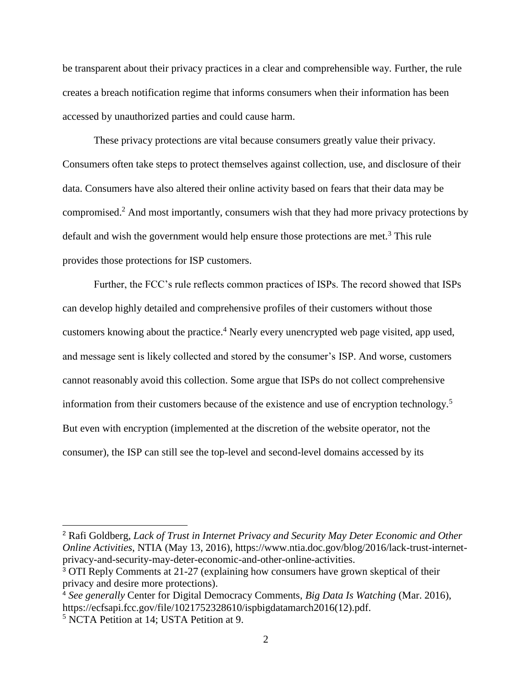be transparent about their privacy practices in a clear and comprehensible way. Further, the rule creates a breach notification regime that informs consumers when their information has been accessed by unauthorized parties and could cause harm.

These privacy protections are vital because consumers greatly value their privacy. Consumers often take steps to protect themselves against collection, use, and disclosure of their data. Consumers have also altered their online activity based on fears that their data may be compromised.<sup>2</sup> And most importantly, consumers wish that they had more privacy protections by default and wish the government would help ensure those protections are met.<sup>3</sup> This rule provides those protections for ISP customers.

Further, the FCC's rule reflects common practices of ISPs. The record showed that ISPs can develop highly detailed and comprehensive profiles of their customers without those customers knowing about the practice.<sup>4</sup> Nearly every unencrypted web page visited, app used, and message sent is likely collected and stored by the consumer's ISP. And worse, customers cannot reasonably avoid this collection. Some argue that ISPs do not collect comprehensive information from their customers because of the existence and use of encryption technology.<sup>5</sup> But even with encryption (implemented at the discretion of the website operator, not the consumer), the ISP can still see the top-level and second-level domains accessed by its

 $\overline{a}$ 

<sup>2</sup> Rafi Goldberg, *Lack of Trust in Internet Privacy and Security May Deter Economic and Other Online Activities*, NTIA (May 13, 2016), https://www.ntia.doc.gov/blog/2016/lack-trust-internetprivacy-and-security-may-deter-economic-and-other-online-activities.

<sup>3</sup> OTI Reply Comments at 21-27 (explaining how consumers have grown skeptical of their privacy and desire more protections).

<sup>4</sup> *See generally* Center for Digital Democracy Comments, *Big Data Is Watching* (Mar. 2016), https://ecfsapi.fcc.gov/file/1021752328610/ispbigdatamarch2016(12).pdf.

<sup>5</sup> NCTA Petition at 14; USTA Petition at 9.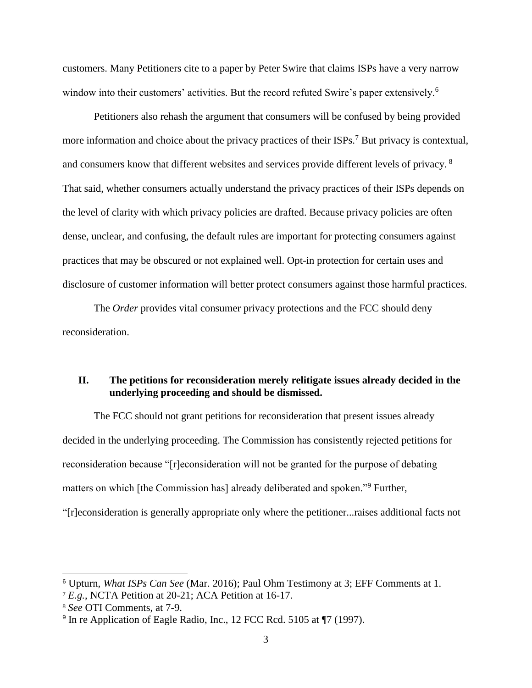customers. Many Petitioners cite to a paper by Peter Swire that claims ISPs have a very narrow window into their customers' activities. But the record refuted Swire's paper extensively.<sup>6</sup>

Petitioners also rehash the argument that consumers will be confused by being provided more information and choice about the privacy practices of their ISPs.<sup>7</sup> But privacy is contextual, and consumers know that different websites and services provide different levels of privacy. <sup>8</sup> That said, whether consumers actually understand the privacy practices of their ISPs depends on the level of clarity with which privacy policies are drafted. Because privacy policies are often dense, unclear, and confusing, the default rules are important for protecting consumers against practices that may be obscured or not explained well. Opt-in protection for certain uses and disclosure of customer information will better protect consumers against those harmful practices.

The *Order* provides vital consumer privacy protections and the FCC should deny reconsideration.

## **II. The petitions for reconsideration merely relitigate issues already decided in the underlying proceeding and should be dismissed.**

The FCC should not grant petitions for reconsideration that present issues already decided in the underlying proceeding. The Commission has consistently rejected petitions for reconsideration because "[r]econsideration will not be granted for the purpose of debating matters on which [the Commission has] already deliberated and spoken."<sup>9</sup> Further,

"[r]econsideration is generally appropriate only where the petitioner...raises additional facts not

 $\overline{a}$ 

<sup>6</sup> Upturn, *What ISPs Can See* (Mar. 2016); Paul Ohm Testimony at 3; EFF Comments at 1.

<sup>7</sup> *E.g.*, NCTA Petition at 20-21; ACA Petition at 16-17.

<sup>8</sup> *See* OTI Comments, at 7-9.

<sup>&</sup>lt;sup>9</sup> In re Application of Eagle Radio, Inc., 12 FCC Rcd. 5105 at ¶7 (1997).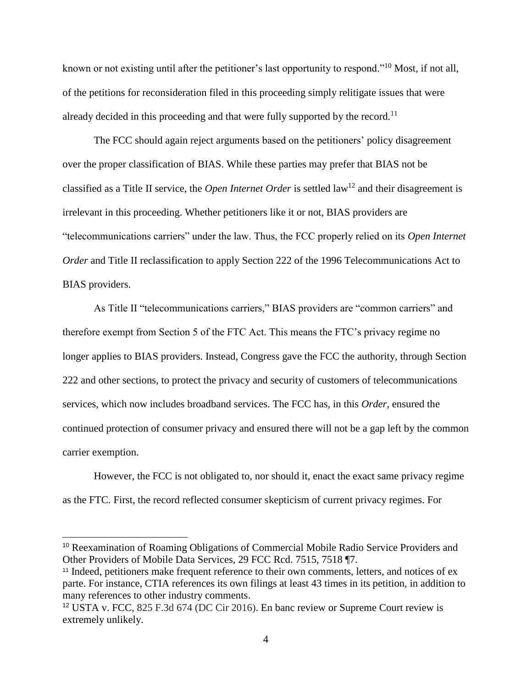known or not existing until after the petitioner's last opportunity to respond."<sup>10</sup> Most, if not all, of the petitions for reconsideration filed in this proceeding simply relitigate issues that were already decided in this proceeding and that were fully supported by the record.<sup>11</sup>

The FCC should again reject arguments based on the petitioners' policy disagreement over the proper classification of BIAS. While these parties may prefer that BIAS not be classified as a Title II service, the *Open Internet Order* is settled law<sup>12</sup> and their disagreement is irrelevant in this proceeding. Whether petitioners like it or not, BIAS providers are "telecommunications carriers" under the law. Thus, the FCC properly relied on its *Open Internet Order* and Title II reclassification to apply Section 222 of the 1996 Telecommunications Act to BIAS providers.

As Title II "telecommunications carriers," BIAS providers are "common carriers" and therefore exempt from Section 5 of the FTC Act. This means the FTC's privacy regime no longer applies to BIAS providers. Instead, Congress gave the FCC the authority, through Section 222 and other sections, to protect the privacy and security of customers of telecommunications services, which now includes broadband services. The FCC has, in this *Order*, ensured the continued protection of consumer privacy and ensured there will not be a gap left by the common carrier exemption.

However, the FCC is not obligated to, nor should it, enact the exact same privacy regime as the FTC. First, the record reflected consumer skepticism of current privacy regimes. For

<sup>10</sup> Reexamination of Roaming Obligations of Commercial Mobile Radio Service Providers and Other Providers of Mobile Data Services, 29 FCC Rcd. 7515, 7518 ¶7.

<sup>&</sup>lt;sup>11</sup> Indeed, petitioners make frequent reference to their own comments, letters, and notices of ex parte. For instance, CTIA references its own filings at least 43 times in its petition, in addition to many references to other industry comments.

<sup>12</sup> USTA v. FCC, 825 F.3d 674 (DC Cir 2016). En banc review or Supreme Court review is extremely unlikely.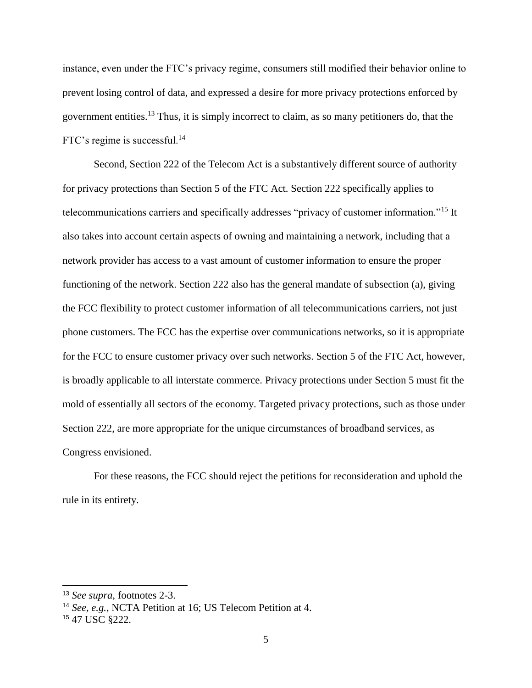instance, even under the FTC's privacy regime, consumers still modified their behavior online to prevent losing control of data, and expressed a desire for more privacy protections enforced by government entities.<sup>13</sup> Thus, it is simply incorrect to claim, as so many petitioners do, that the FTC's regime is successful.<sup>14</sup>

Second, Section 222 of the Telecom Act is a substantively different source of authority for privacy protections than Section 5 of the FTC Act. Section 222 specifically applies to telecommunications carriers and specifically addresses "privacy of customer information."<sup>15</sup> It also takes into account certain aspects of owning and maintaining a network, including that a network provider has access to a vast amount of customer information to ensure the proper functioning of the network. Section 222 also has the general mandate of subsection (a), giving the FCC flexibility to protect customer information of all telecommunications carriers, not just phone customers. The FCC has the expertise over communications networks, so it is appropriate for the FCC to ensure customer privacy over such networks. Section 5 of the FTC Act, however, is broadly applicable to all interstate commerce. Privacy protections under Section 5 must fit the mold of essentially all sectors of the economy. Targeted privacy protections, such as those under Section 222, are more appropriate for the unique circumstances of broadband services, as Congress envisioned.

For these reasons, the FCC should reject the petitions for reconsideration and uphold the rule in its entirety.

 $\overline{a}$ 

<sup>13</sup> *See supra*, footnotes 2-3.

<sup>14</sup> *See, e.g.*, NCTA Petition at 16; US Telecom Petition at 4.

<sup>15</sup> 47 USC §222.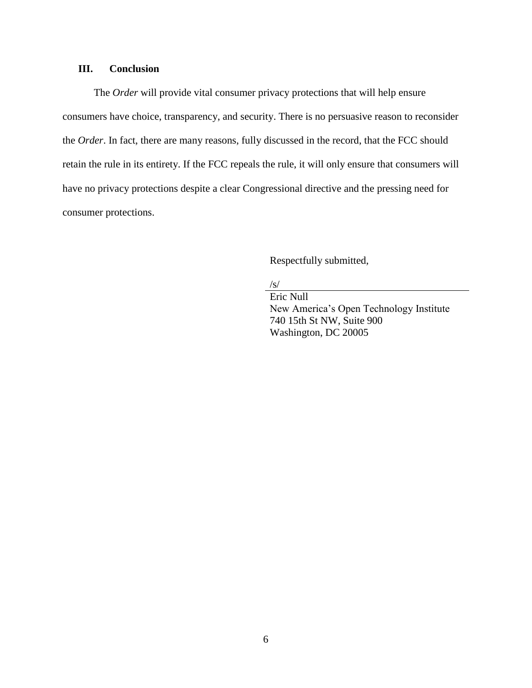# **III. Conclusion**

The *Order* will provide vital consumer privacy protections that will help ensure consumers have choice, transparency, and security. There is no persuasive reason to reconsider the *Order*. In fact, there are many reasons, fully discussed in the record, that the FCC should retain the rule in its entirety. If the FCC repeals the rule, it will only ensure that consumers will have no privacy protections despite a clear Congressional directive and the pressing need for consumer protections.

Respectfully submitted,

/s/

Eric Null New America's Open Technology Institute 740 15th St NW, Suite 900 Washington, DC 20005